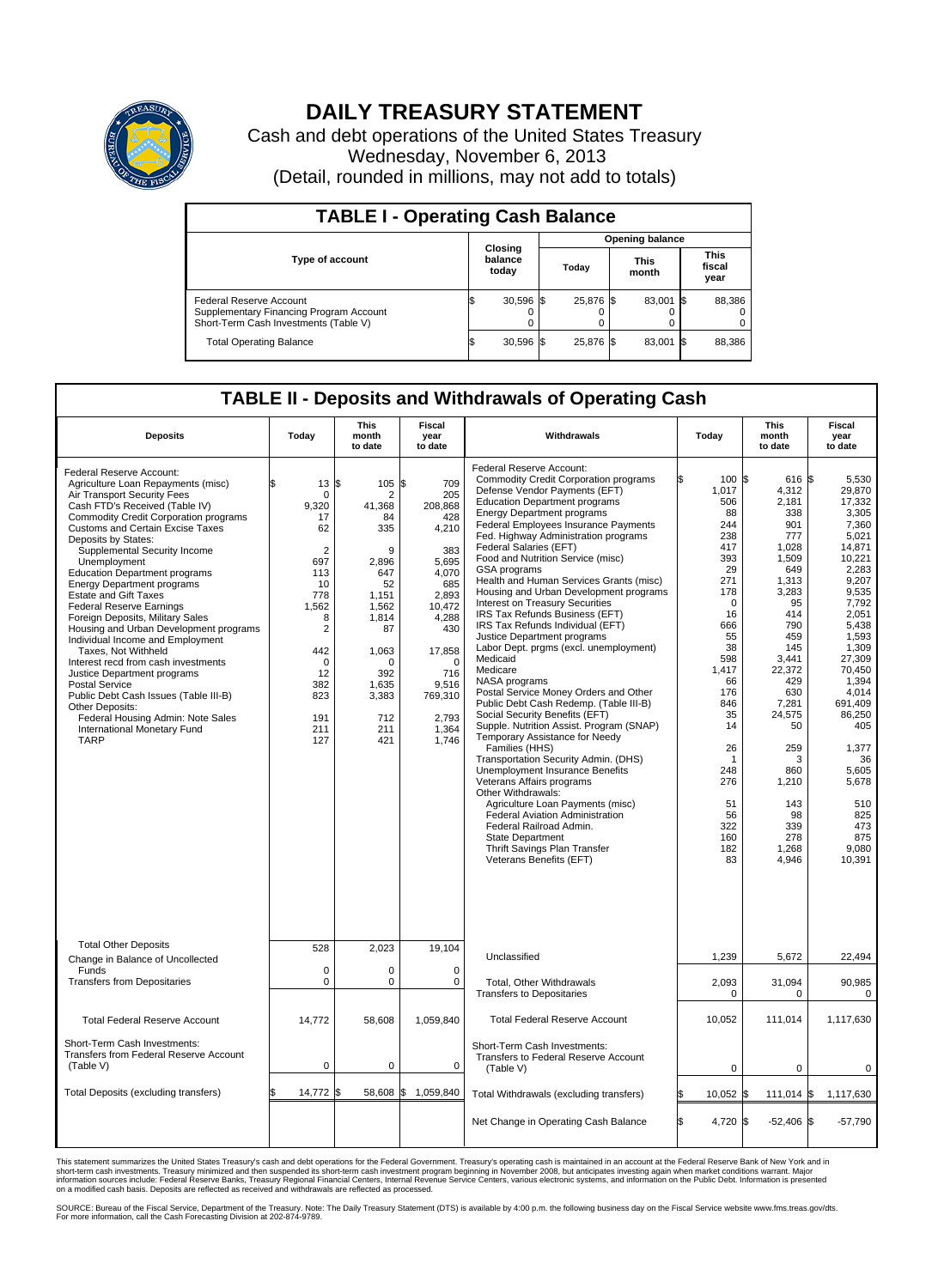

## **DAILY TREASURY STATEMENT**

Cash and debt operations of the United States Treasury Wednesday, November 6, 2013 (Detail, rounded in millions, may not add to totals)

| <b>TABLE I - Operating Cash Balance</b>                                                                     |  |                             |  |                        |  |                      |  |                               |  |
|-------------------------------------------------------------------------------------------------------------|--|-----------------------------|--|------------------------|--|----------------------|--|-------------------------------|--|
|                                                                                                             |  |                             |  | <b>Opening balance</b> |  |                      |  |                               |  |
| <b>Type of account</b>                                                                                      |  | Closing<br>balance<br>today |  | Today                  |  | <b>This</b><br>month |  | <b>This</b><br>fiscal<br>year |  |
| Federal Reserve Account<br>Supplementary Financing Program Account<br>Short-Term Cash Investments (Table V) |  | $30,596$ \$                 |  | 25.876 \$              |  | 83.001 \$            |  | 88,386                        |  |
| <b>Total Operating Balance</b>                                                                              |  | $30,596$ \$                 |  | 25.876 \$              |  | 83,001 \$            |  | 88,386                        |  |

## **TABLE II - Deposits and Withdrawals of Operating Cash**

| <b>Deposits</b>                                                                                                                                                                                                                                                                                                                                                                                                                                                                                                                                                                                                                                                                                                                                                                                                                          | Today                                                                                                                                                                              | <b>This</b><br>month<br>to date                                                                                                                                            | Fiscal<br>year<br>to date                                                                                                                                                            | Withdrawals                                                                                                                                                                                                                                                                                                                                                                                                                                                                                                                                                                                                                                                                                                                                                                                                                                                                                                                                                                                                                                                                                                                                                                                                                    | Today                                                                                                                                                                                                                                                   | <b>This</b><br>month<br>to date                                                                                                                                                                                                                               | <b>Fiscal</b><br>year<br>to date                                                                                                                                                                                                                                                                   |  |
|------------------------------------------------------------------------------------------------------------------------------------------------------------------------------------------------------------------------------------------------------------------------------------------------------------------------------------------------------------------------------------------------------------------------------------------------------------------------------------------------------------------------------------------------------------------------------------------------------------------------------------------------------------------------------------------------------------------------------------------------------------------------------------------------------------------------------------------|------------------------------------------------------------------------------------------------------------------------------------------------------------------------------------|----------------------------------------------------------------------------------------------------------------------------------------------------------------------------|--------------------------------------------------------------------------------------------------------------------------------------------------------------------------------------|--------------------------------------------------------------------------------------------------------------------------------------------------------------------------------------------------------------------------------------------------------------------------------------------------------------------------------------------------------------------------------------------------------------------------------------------------------------------------------------------------------------------------------------------------------------------------------------------------------------------------------------------------------------------------------------------------------------------------------------------------------------------------------------------------------------------------------------------------------------------------------------------------------------------------------------------------------------------------------------------------------------------------------------------------------------------------------------------------------------------------------------------------------------------------------------------------------------------------------|---------------------------------------------------------------------------------------------------------------------------------------------------------------------------------------------------------------------------------------------------------|---------------------------------------------------------------------------------------------------------------------------------------------------------------------------------------------------------------------------------------------------------------|----------------------------------------------------------------------------------------------------------------------------------------------------------------------------------------------------------------------------------------------------------------------------------------------------|--|
| Federal Reserve Account:<br>Agriculture Loan Repayments (misc)<br>Air Transport Security Fees<br>Cash FTD's Received (Table IV)<br><b>Commodity Credit Corporation programs</b><br><b>Customs and Certain Excise Taxes</b><br>Deposits by States:<br>Supplemental Security Income<br>Unemployment<br><b>Education Department programs</b><br><b>Energy Department programs</b><br><b>Estate and Gift Taxes</b><br><b>Federal Reserve Earnings</b><br>Foreign Deposits, Military Sales<br>Housing and Urban Development programs<br>Individual Income and Employment<br>Taxes, Not Withheld<br>Interest recd from cash investments<br>Justice Department programs<br><b>Postal Service</b><br>Public Debt Cash Issues (Table III-B)<br>Other Deposits:<br>Federal Housing Admin: Note Sales<br>International Monetary Fund<br><b>TARP</b> | 13<br>$\mathbf 0$<br>9,320<br>17<br>62<br>$\overline{2}$<br>697<br>113<br>10<br>778<br>1,562<br>8<br>$\overline{2}$<br>442<br>$\mathbf 0$<br>12<br>382<br>823<br>191<br>211<br>127 | $105$ \$<br>l\$<br>2<br>41,368<br>84<br>335<br>9<br>2,896<br>647<br>52<br>1,151<br>1,562<br>1,814<br>87<br>1,063<br>$\Omega$<br>392<br>1,635<br>3,383<br>712<br>211<br>421 | 709<br>205<br>208,868<br>428<br>4,210<br>383<br>5,695<br>4,070<br>685<br>2,893<br>10,472<br>4,288<br>430<br>17,858<br>$\Omega$<br>716<br>9,516<br>769,310<br>2,793<br>1,364<br>1,746 | Federal Reserve Account:<br><b>Commodity Credit Corporation programs</b><br>Defense Vendor Payments (EFT)<br><b>Education Department programs</b><br><b>Energy Department programs</b><br>Federal Employees Insurance Payments<br>Fed. Highway Administration programs<br>Federal Salaries (EFT)<br>Food and Nutrition Service (misc)<br>GSA programs<br>Health and Human Services Grants (misc)<br>Housing and Urban Development programs<br>Interest on Treasury Securities<br>IRS Tax Refunds Business (EFT)<br>IRS Tax Refunds Individual (EFT)<br>Justice Department programs<br>Labor Dept. prgms (excl. unemployment)<br>Medicaid<br>Medicare<br>NASA programs<br>Postal Service Money Orders and Other<br>Public Debt Cash Redemp. (Table III-B)<br>Social Security Benefits (EFT)<br>Supple. Nutrition Assist. Program (SNAP)<br>Temporary Assistance for Needy<br>Families (HHS)<br>Transportation Security Admin. (DHS)<br><b>Unemployment Insurance Benefits</b><br>Veterans Affairs programs<br>Other Withdrawals:<br>Agriculture Loan Payments (misc)<br><b>Federal Aviation Administration</b><br>Federal Railroad Admin.<br><b>State Department</b><br>Thrift Savings Plan Transfer<br>Veterans Benefits (EFT) | 100 \$<br>\$<br>1,017<br>506<br>88<br>244<br>238<br>417<br>393<br>29<br>271<br>178<br>$\mathbf 0$<br>16<br>666<br>55<br>38<br>598<br>1.417<br>66<br>176<br>846<br>35<br>14<br>26<br>$\overline{1}$<br>248<br>276<br>51<br>56<br>322<br>160<br>182<br>83 | 616 \$<br>4,312<br>2,181<br>338<br>901<br>777<br>1.028<br>1,509<br>649<br>1,313<br>3,283<br>95<br>414<br>790<br>459<br>145<br>3,441<br>22,372<br>429<br>630<br>7,281<br>24,575<br>50<br>259<br>3<br>860<br>1,210<br>143<br>98<br>339<br>278<br>1,268<br>4,946 | 5.530<br>29,870<br>17,332<br>3,305<br>7,360<br>5,021<br>14,871<br>10.221<br>2,283<br>9,207<br>9,535<br>7,792<br>2,051<br>5,438<br>1,593<br>1,309<br>27,309<br>70.450<br>1.394<br>4,014<br>691.409<br>86,250<br>405<br>1,377<br>36<br>5.605<br>5,678<br>510<br>825<br>473<br>875<br>9,080<br>10,391 |  |
| <b>Total Other Deposits</b><br>Change in Balance of Uncollected                                                                                                                                                                                                                                                                                                                                                                                                                                                                                                                                                                                                                                                                                                                                                                          | 528                                                                                                                                                                                | 2,023                                                                                                                                                                      | 19,104                                                                                                                                                                               | Unclassified                                                                                                                                                                                                                                                                                                                                                                                                                                                                                                                                                                                                                                                                                                                                                                                                                                                                                                                                                                                                                                                                                                                                                                                                                   | 1,239                                                                                                                                                                                                                                                   | 5,672                                                                                                                                                                                                                                                         | 22,494                                                                                                                                                                                                                                                                                             |  |
| Funds<br><b>Transfers from Depositaries</b>                                                                                                                                                                                                                                                                                                                                                                                                                                                                                                                                                                                                                                                                                                                                                                                              | $\mathbf 0$<br>$\mathbf 0$                                                                                                                                                         | 0<br>0                                                                                                                                                                     | 0<br>$\mathbf 0$                                                                                                                                                                     | Total, Other Withdrawals<br><b>Transfers to Depositaries</b>                                                                                                                                                                                                                                                                                                                                                                                                                                                                                                                                                                                                                                                                                                                                                                                                                                                                                                                                                                                                                                                                                                                                                                   | 2,093<br>0                                                                                                                                                                                                                                              | 31,094<br>$\mathbf 0$                                                                                                                                                                                                                                         | 90,985<br>0                                                                                                                                                                                                                                                                                        |  |
| <b>Total Federal Reserve Account</b>                                                                                                                                                                                                                                                                                                                                                                                                                                                                                                                                                                                                                                                                                                                                                                                                     | 14,772                                                                                                                                                                             | 58,608                                                                                                                                                                     | 1,059,840                                                                                                                                                                            | <b>Total Federal Reserve Account</b>                                                                                                                                                                                                                                                                                                                                                                                                                                                                                                                                                                                                                                                                                                                                                                                                                                                                                                                                                                                                                                                                                                                                                                                           | 10,052                                                                                                                                                                                                                                                  | 111,014                                                                                                                                                                                                                                                       | 1,117,630                                                                                                                                                                                                                                                                                          |  |
| Short-Term Cash Investments:<br>Transfers from Federal Reserve Account<br>(Table V)                                                                                                                                                                                                                                                                                                                                                                                                                                                                                                                                                                                                                                                                                                                                                      | $\mathbf 0$                                                                                                                                                                        | 0                                                                                                                                                                          | $\mathbf 0$                                                                                                                                                                          | Short-Term Cash Investments:<br>Transfers to Federal Reserve Account<br>(Table V)                                                                                                                                                                                                                                                                                                                                                                                                                                                                                                                                                                                                                                                                                                                                                                                                                                                                                                                                                                                                                                                                                                                                              | 0                                                                                                                                                                                                                                                       | $\mathbf 0$                                                                                                                                                                                                                                                   | 0                                                                                                                                                                                                                                                                                                  |  |
| Total Deposits (excluding transfers)                                                                                                                                                                                                                                                                                                                                                                                                                                                                                                                                                                                                                                                                                                                                                                                                     | 14,772 \$<br>\$                                                                                                                                                                    |                                                                                                                                                                            | 58,608 \$ 1,059,840                                                                                                                                                                  | Total Withdrawals (excluding transfers)                                                                                                                                                                                                                                                                                                                                                                                                                                                                                                                                                                                                                                                                                                                                                                                                                                                                                                                                                                                                                                                                                                                                                                                        | 10,052 \$                                                                                                                                                                                                                                               | $111,014$ \$                                                                                                                                                                                                                                                  | 1,117,630                                                                                                                                                                                                                                                                                          |  |
|                                                                                                                                                                                                                                                                                                                                                                                                                                                                                                                                                                                                                                                                                                                                                                                                                                          |                                                                                                                                                                                    |                                                                                                                                                                            |                                                                                                                                                                                      | Net Change in Operating Cash Balance                                                                                                                                                                                                                                                                                                                                                                                                                                                                                                                                                                                                                                                                                                                                                                                                                                                                                                                                                                                                                                                                                                                                                                                           | l\$<br>4,720 \$                                                                                                                                                                                                                                         | $-52,406$ \$                                                                                                                                                                                                                                                  | $-57,790$                                                                                                                                                                                                                                                                                          |  |

This statement summarizes the United States Treasury's cash and debt operations for the Federal Government. Treasury's operating cash is maintained in an account at the Federal Reserve Bank of New York and in<br>informetion c

SOURCE: Bureau of the Fiscal Service, Department of the Treasury. Note: The Daily Treasury Statement (DTS) is available by 4:00 p.m. the following business day on the Fiscal Service website www.fms.treas.gov/dts.<br>For more